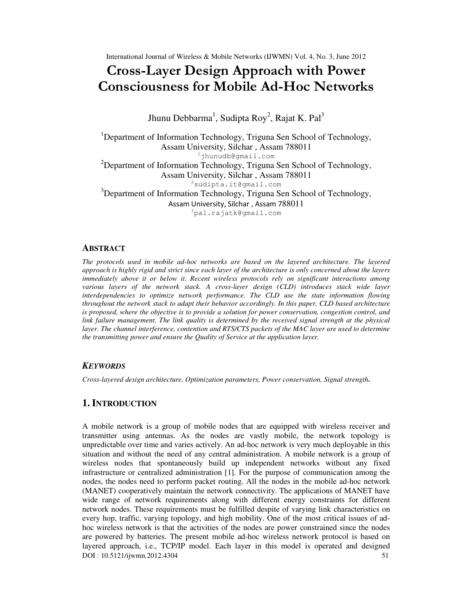# Cross-Layer Design Approach with Power Consciousness for Mobile Ad-Hoc Networks

Jhunu Debbarma $^1$ , Sudipta Roy $^2$ , Rajat K. Pal $^3$ 

<sup>1</sup>Department of Information Technology, Triguna Sen School of Technology, Assam University, Silchar , Assam 788011 <sup>1</sup>jhunudb@gmail.com <sup>2</sup>Department of Information Technology, Triguna Sen School of Technology, Assam University, Silchar , Assam 788011  $2$ sudipta.it@gmail.com <sup>3</sup>Department of Information Technology, Triguna Sen School of Technology, Assam University, Silchar , Assam 788011 <sup>3</sup>pal.rajatk@gmail.com

#### **ABSTRACT**

*The protocols used in mobile ad-hoc networks are based on the layered architecture. The layered approach is highly rigid and strict since each layer of the architecture is only concerned about the layers immediately above it or below it. Recent wireless protocols rely on significant interactions among various layers of the network stack. A cross-layer design (CLD) introduces stack wide layer interdependencies to optimize network performance. The CLD use the state information flowing throughout the network stack to adapt their behavior accordingly. In this paper, CLD based architecture is proposed, where the objective is to provide a solution for power conservation, congestion control, and link failure management. The link quality is determined by the received signal strength at the physical layer. The channel interference, contention and RTS/CTS packets of the MAC layer are used to determine the transmitting power and ensure the Quality of Service at the application layer.* 

#### *KEYWORDS*

*Cross-layered design architecture, Optimization parameters, Power conservation, Signal strength***.** 

## **1. INTRODUCTION**

DOI : 10.5121/ijwmn.2012.4304 51 A mobile network is a group of mobile nodes that are equipped with wireless receiver and transmitter using antennas. As the nodes are vastly mobile, the network topology is unpredictable over time and varies actively. An ad-hoc network is very much deployable in this situation and without the need of any central administration. A mobile network is a group of wireless nodes that spontaneously build up independent networks without any fixed infrastructure or centralized administration [1]. For the purpose of communication among the nodes, the nodes need to perform packet routing. All the nodes in the mobile ad-hoc network (MANET) cooperatively maintain the network connectivity. The applications of MANET have wide range of network requirements along with different energy constraints for different network nodes. These requirements must be fulfilled despite of varying link characteristics on every hop, traffic, varying topology, and high mobility. One of the most critical issues of adhoc wireless network is that the activities of the nodes are power constrained since the nodes are powered by batteries. The present mobile ad-hoc wireless network protocol is based on layered approach, i.e., TCP/IP model. Each layer in this model is operated and designed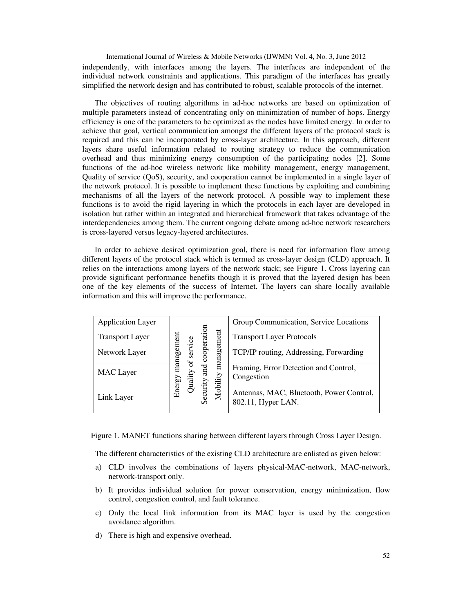International Journal of Wireless & Mobile Networks (IJWMN) Vol. 4, No. 3, June 2012 independently, with interfaces among the layers. The interfaces are independent of the individual network constraints and applications. This paradigm of the interfaces has greatly simplified the network design and has contributed to robust, scalable protocols of the internet.

The objectives of routing algorithms in ad-hoc networks are based on optimization of multiple parameters instead of concentrating only on minimization of number of hops. Energy efficiency is one of the parameters to be optimized as the nodes have limited energy. In order to achieve that goal, vertical communication amongst the different layers of the protocol stack is required and this can be incorporated by cross-layer architecture. In this approach, different layers share useful information related to routing strategy to reduce the communication overhead and thus minimizing energy consumption of the participating nodes [2]. Some functions of the ad-hoc wireless network like mobility management, energy management, Quality of service (QoS), security, and cooperation cannot be implemented in a single layer of the network protocol. It is possible to implement these functions by exploiting and combining mechanisms of all the layers of the network protocol. A possible way to implement these functions is to avoid the rigid layering in which the protocols in each layer are developed in isolation but rather within an integrated and hierarchical framework that takes advantage of the interdependencies among them. The current ongoing debate among ad-hoc network researchers is cross-layered versus legacy-layered architectures.

In order to achieve desired optimization goal, there is need for information flow among different layers of the protocol stack which is termed as cross-layer design (CLD) approach. It relies on the interactions among layers of the network stack; see Figure 1. Cross layering can provide significant performance benefits though it is proved that the layered design has been one of the key elements of the success of Internet. The layers can share locally available information and this will improve the performance.

| <b>Application Layer</b> |                                         |                    |            |                                                     | Group Communication, Service Locations                         |
|--------------------------|-----------------------------------------|--------------------|------------|-----------------------------------------------------|----------------------------------------------------------------|
| <b>Transport Layer</b>   | ervice<br>managem<br>$u$ alit<br>Energy | cooperation<br>and | management | <b>Transport Layer Protocols</b>                    |                                                                |
| Network Layer            |                                         |                    |            | TCP/IP routing, Addressing, Forwarding              |                                                                |
| <b>MAC</b> Layer         |                                         |                    |            | Framing, Error Detection and Control,<br>Congestion |                                                                |
| Link Layer               |                                         |                    | Security   | Mobility                                            | Antennas, MAC, Bluetooth, Power Control,<br>802.11, Hyper LAN. |

Figure 1. MANET functions sharing between different layers through Cross Layer Design.

The different characteristics of the existing CLD architecture are enlisted as given below:

- a) CLD involves the combinations of layers physical-MAC-network, MAC-network, network-transport only.
- b) It provides individual solution for power conservation, energy minimization, flow control, congestion control, and fault tolerance.
- c) Only the local link information from its MAC layer is used by the congestion avoidance algorithm.
- d) There is high and expensive overhead.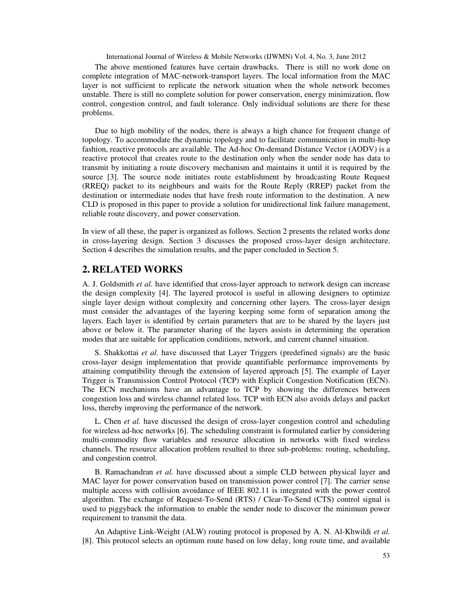The above mentioned features have certain drawbacks. There is still no work done on complete integration of MAC-network-transport layers. The local information from the MAC layer is not sufficient to replicate the network situation when the whole network becomes unstable. There is still no complete solution for power conservation, energy minimization, flow control, congestion control, and fault tolerance. Only individual solutions are there for these problems.

Due to high mobility of the nodes, there is always a high chance for frequent change of topology. To accommodate the dynamic topology and to facilitate communication in multi-hop fashion, reactive protocols are available. The Ad-hoc On-demand Distance Vector (AODV) is a reactive protocol that creates route to the destination only when the sender node has data to transmit by initiating a route discovery mechanism and maintains it until it is required by the source [3]. The source node initiates route establishment by broadcasting Route Request (RREQ) packet to its neighbours and waits for the Route Reply (RREP) packet from the destination or intermediate nodes that have fresh route information to the destination. A new CLD is proposed in this paper to provide a solution for unidirectional link failure management, reliable route discovery, and power conservation.

In view of all these, the paper is organized as follows. Section 2 presents the related works done in cross-layering design. Section 3 discusses the proposed cross-layer design architecture. Section 4 describes the simulation results, and the paper concluded in Section 5.

# **2. RELATED WORKS**

A. J. Goldsmith *et al.* have identified that cross-layer approach to network design can increase the design complexity [4]. The layered protocol is useful in allowing designers to optimize single layer design without complexity and concerning other layers. The cross-layer design must consider the advantages of the layering keeping some form of separation among the layers. Each layer is identified by certain parameters that are to be shared by the layers just above or below it. The parameter sharing of the layers assists in determining the operation modes that are suitable for application conditions, network, and current channel situation.

S. Shakkottai *et al.* have discussed that Layer Triggers (predefined signals) are the basic cross-layer design implementation that provide quantifiable performance improvements by attaining compatibility through the extension of layered approach [5]. The example of Layer Trigger is Transmission Control Protocol (TCP) with Explicit Congestion Notification (ECN). The ECN mechanisms have an advantage to TCP by showing the differences between congestion loss and wireless channel related loss. TCP with ECN also avoids delays and packet loss, thereby improving the performance of the network.

L. Chen *et al.* have discussed the design of cross-layer congestion control and scheduling for wireless ad-hoc networks [6]. The scheduling constraint is formulated earlier by considering multi-commodity flow variables and resource allocation in networks with fixed wireless channels. The resource allocation problem resulted to three sub-problems: routing, scheduling, and congestion control.

B. Ramachandran *et al.* have discussed about a simple CLD between physical layer and MAC layer for power conservation based on transmission power control [7]. The carrier sense multiple access with collision avoidance of IEEE 802.11 is integrated with the power control algorithm. The exchange of Request-To-Send (RTS) / Clear-To-Send (CTS) control signal is used to piggyback the information to enable the sender node to discover the minimum power requirement to transmit the data.

An Adaptive Link-Weight (ALW) routing protocol is proposed by A. N. Al-Khwildi *et al.* [8]. This protocol selects an optimum route based on low delay, long route time, and available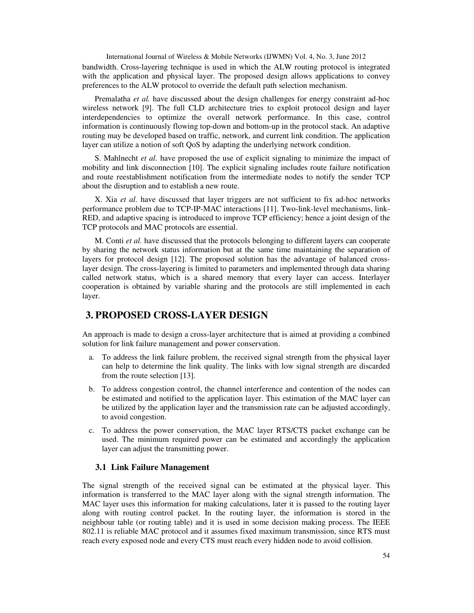bandwidth. Cross-layering technique is used in which the ALW routing protocol is integrated with the application and physical layer. The proposed design allows applications to convey preferences to the ALW protocol to override the default path selection mechanism.

Premalatha *et al.* have discussed about the design challenges for energy constraint ad-hoc wireless network [9]. The full CLD architecture tries to exploit protocol design and layer interdependencies to optimize the overall network performance. In this case, control information is continuously flowing top-down and bottom-up in the protocol stack. An adaptive routing may be developed based on traffic, network, and current link condition. The application layer can utilize a notion of soft QoS by adapting the underlying network condition.

S. Mahlnecht *et al.* have proposed the use of explicit signaling to minimize the impact of mobility and link disconnection [10]. The explicit signaling includes route failure notification and route reestablishment notification from the intermediate nodes to notify the sender TCP about the disruption and to establish a new route.

X. Xia *et al.* have discussed that layer triggers are not sufficient to fix ad-hoc networks performance problem due to TCP-IP-MAC interactions [11]. Two-link-level mechanisms, link-RED, and adaptive spacing is introduced to improve TCP efficiency; hence a joint design of the TCP protocols and MAC protocols are essential.

M. Conti *et al.* have discussed that the protocols belonging to different layers can cooperate by sharing the network status information but at the same time maintaining the separation of layers for protocol design [12]. The proposed solution has the advantage of balanced crosslayer design. The cross-layering is limited to parameters and implemented through data sharing called network status, which is a shared memory that every layer can access. Interlayer cooperation is obtained by variable sharing and the protocols are still implemented in each layer.

# **3. PROPOSED CROSS-LAYER DESIGN**

An approach is made to design a cross-layer architecture that is aimed at providing a combined solution for link failure management and power conservation.

- a. To address the link failure problem, the received signal strength from the physical layer can help to determine the link quality. The links with low signal strength are discarded from the route selection [13].
- b. To address congestion control, the channel interference and contention of the nodes can be estimated and notified to the application layer. This estimation of the MAC layer can be utilized by the application layer and the transmission rate can be adjusted accordingly, to avoid congestion.
- c. To address the power conservation, the MAC layer RTS/CTS packet exchange can be used. The minimum required power can be estimated and accordingly the application layer can adjust the transmitting power.

#### **3.1 Link Failure Management**

The signal strength of the received signal can be estimated at the physical layer. This information is transferred to the MAC layer along with the signal strength information. The MAC layer uses this information for making calculations, later it is passed to the routing layer along with routing control packet. In the routing layer, the information is stored in the neighbour table (or routing table) and it is used in some decision making process. The IEEE 802.11 is reliable MAC protocol and it assumes fixed maximum transmission, since RTS must reach every exposed node and every CTS must reach every hidden node to avoid collision.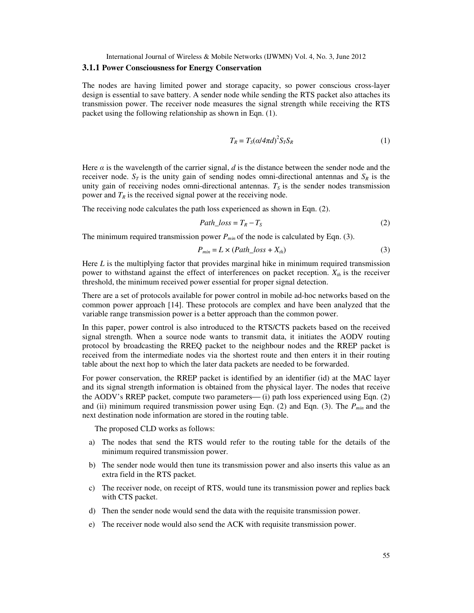#### **3.1.1 Power Consciousness for Energy Conservation**

The nodes are having limited power and storage capacity, so power conscious cross-layer design is essential to save battery. A sender node while sending the RTS packet also attaches its transmission power. The receiver node measures the signal strength while receiving the RTS packet using the following relationship as shown in Eqn. (1).

$$
T_R = T_S(\alpha/4\pi d)^2 S_T S_R \tag{1}
$$

Here  $\alpha$  is the wavelength of the carrier signal, *d* is the distance between the sender node and the receiver node.  $S_T$  is the unity gain of sending nodes omni-directional antennas and  $S_R$  is the unity gain of receiving nodes omni-directional antennas.  $T<sub>S</sub>$  is the sender nodes transmission power and  $T_R$  is the received signal power at the receiving node.

The receiving node calculates the path loss experienced as shown in Eqn. (2).

$$
Path\_loss = T_R - T_S \tag{2}
$$

The minimum required transmission power  $P_{min}$  of the node is calculated by Eqn. (3).

$$
P_{min} = L \times (Path\_loss + X_{th})
$$
\n(3)

Here *L* is the multiplying factor that provides marginal hike in minimum required transmission power to withstand against the effect of interferences on packet reception. *Xth* is the receiver threshold, the minimum received power essential for proper signal detection.

There are a set of protocols available for power control in mobile ad-hoc networks based on the common power approach [14]. These protocols are complex and have been analyzed that the variable range transmission power is a better approach than the common power.

In this paper, power control is also introduced to the RTS/CTS packets based on the received signal strength. When a source node wants to transmit data, it initiates the AODV routing protocol by broadcasting the RREQ packet to the neighbour nodes and the RREP packet is received from the intermediate nodes via the shortest route and then enters it in their routing table about the next hop to which the later data packets are needed to be forwarded.

For power conservation, the RREP packet is identified by an identifier (id) at the MAC layer and its signal strength information is obtained from the physical layer. The nodes that receive the AODV's RREP packet, compute two parameters— $(i)$  path loss experienced using Eqn. (2) and (ii) minimum required transmission power using Eqn. (2) and Eqn. (3). The *Pmin* and the next destination node information are stored in the routing table.

The proposed CLD works as follows:

- a) The nodes that send the RTS would refer to the routing table for the details of the minimum required transmission power.
- b) The sender node would then tune its transmission power and also inserts this value as an extra field in the RTS packet.
- c) The receiver node, on receipt of RTS, would tune its transmission power and replies back with CTS packet.
- d) Then the sender node would send the data with the requisite transmission power.
- e) The receiver node would also send the ACK with requisite transmission power.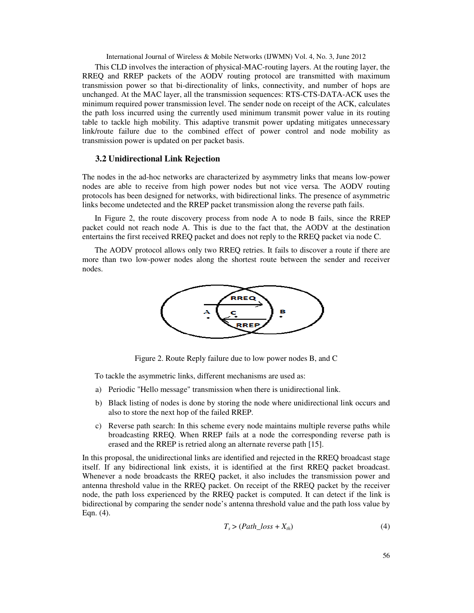This CLD involves the interaction of physical-MAC-routing layers. At the routing layer, the RREQ and RREP packets of the AODV routing protocol are transmitted with maximum transmission power so that bi-directionality of links, connectivity, and number of hops are unchanged. At the MAC layer, all the transmission sequences: RTS-CTS-DATA-ACK uses the minimum required power transmission level. The sender node on receipt of the ACK, calculates the path loss incurred using the currently used minimum transmit power value in its routing table to tackle high mobility. This adaptive transmit power updating mitigates unnecessary link/route failure due to the combined effect of power control and node mobility as transmission power is updated on per packet basis.

#### **3.2 Unidirectional Link Rejection**

The nodes in the ad-hoc networks are characterized by asymmetry links that means low-power nodes are able to receive from high power nodes but not vice versa. The AODV routing protocols has been designed for networks, with bidirectional links. The presence of asymmetric links become undetected and the RREP packet transmission along the reverse path fails.

In Figure 2, the route discovery process from node A to node B fails, since the RREP packet could not reach node A. This is due to the fact that, the AODV at the destination entertains the first received RREQ packet and does not reply to the RREQ packet via node C.

The AODV protocol allows only two RREQ retries. It fails to discover a route if there are more than two low-power nodes along the shortest route between the sender and receiver nodes.



Figure 2. Route Reply failure due to low power nodes B, and C

To tackle the asymmetric links, different mechanisms are used as:

- a) Periodic "Hello message" transmission when there is unidirectional link.
- b) Black listing of nodes is done by storing the node where unidirectional link occurs and also to store the next hop of the failed RREP.
- c) Reverse path search: In this scheme every node maintains multiple reverse paths while broadcasting RREQ. When RREP fails at a node the corresponding reverse path is erased and the RREP is retried along an alternate reverse path [15].

In this proposal, the unidirectional links are identified and rejected in the RREQ broadcast stage itself. If any bidirectional link exists, it is identified at the first RREQ packet broadcast. Whenever a node broadcasts the RREQ packet, it also includes the transmission power and antenna threshold value in the RREQ packet. On receipt of the RREQ packet by the receiver node, the path loss experienced by the RREQ packet is computed. It can detect if the link is bidirectional by comparing the sender node's antenna threshold value and the path loss value by Eqn. (4).

$$
T_s > (Path\_loss + X_{th})
$$
\n<sup>(4)</sup>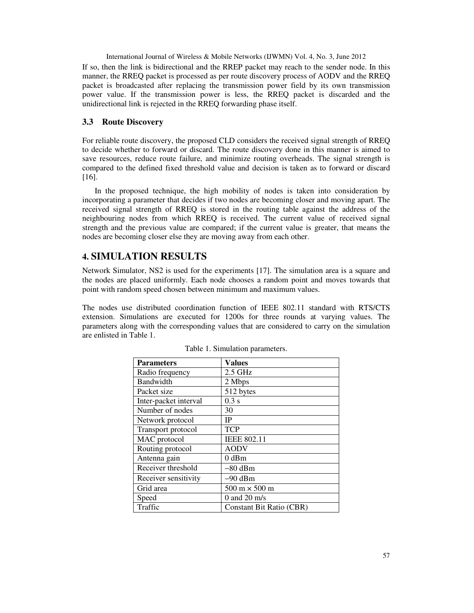If so, then the link is bidirectional and the RREP packet may reach to the sender node. In this manner, the RREQ packet is processed as per route discovery process of AODV and the RREQ packet is broadcasted after replacing the transmission power field by its own transmission power value. If the transmission power is less, the RREQ packet is discarded and the unidirectional link is rejected in the RREQ forwarding phase itself.

## **3.3 Route Discovery**

For reliable route discovery, the proposed CLD considers the received signal strength of RREQ to decide whether to forward or discard. The route discovery done in this manner is aimed to save resources, reduce route failure, and minimize routing overheads. The signal strength is compared to the defined fixed threshold value and decision is taken as to forward or discard [16].

In the proposed technique, the high mobility of nodes is taken into consideration by incorporating a parameter that decides if two nodes are becoming closer and moving apart. The received signal strength of RREQ is stored in the routing table against the address of the neighbouring nodes from which RREQ is received. The current value of received signal strength and the previous value are compared; if the current value is greater, that means the nodes are becoming closer else they are moving away from each other.

# **4. SIMULATION RESULTS**

Network Simulator, NS2 is used for the experiments [17]. The simulation area is a square and the nodes are placed uniformly. Each node chooses a random point and moves towards that point with random speed chosen between minimum and maximum values.

The nodes use distributed coordination function of IEEE 802.11 standard with RTS/CTS extension. Simulations are executed for 1200s for three rounds at varying values. The parameters along with the corresponding values that are considered to carry on the simulation are enlisted in Table 1.

| <b>Parameters</b>     | <b>Values</b>                        |
|-----------------------|--------------------------------------|
| Radio frequency       | $2.5$ GHz                            |
| Bandwidth             | 2 Mbps                               |
| Packet size           | 512 bytes                            |
| Inter-packet interval | $0.3$ s                              |
| Number of nodes       | 30                                   |
| Network protocol      | IP                                   |
| Transport protocol    | <b>TCP</b>                           |
| MAC protocol          | <b>IEEE 802.11</b>                   |
| Routing protocol      | <b>AODV</b>                          |
| Antenna gain          | $0$ dBm                              |
| Receiver threshold    | $-80$ dBm                            |
| Receiver sensitivity  | $-90$ dBm                            |
| Grid area             | $500 \text{ m} \times 500 \text{ m}$ |
| Speed                 | 0 and 20 $m/s$                       |
| Traffic               | Constant Bit Ratio (CBR)             |

Table 1. Simulation parameters.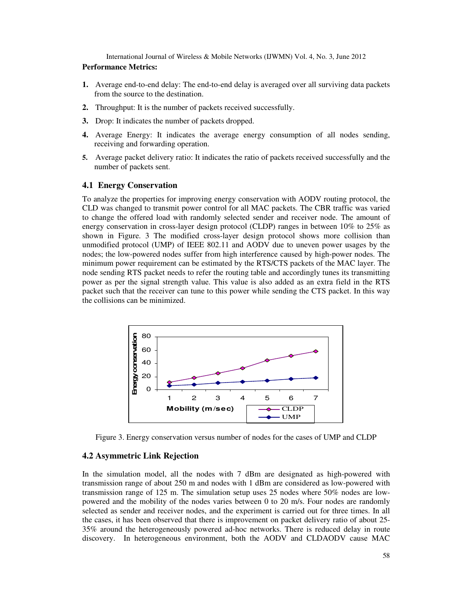#### **Performance Metrics:**

- **1.** Average end-to-end delay: The end-to-end delay is averaged over all surviving data packets from the source to the destination.
- **2.** Throughput: It is the number of packets received successfully.
- **3.** Drop: It indicates the number of packets dropped.
- **4.** Average Energy: It indicates the average energy consumption of all nodes sending, receiving and forwarding operation.
- **5.** Average packet delivery ratio: It indicates the ratio of packets received successfully and the number of packets sent.

#### **4.1 Energy Conservation**

To analyze the properties for improving energy conservation with AODV routing protocol, the CLD was changed to transmit power control for all MAC packets. The CBR traffic was varied to change the offered load with randomly selected sender and receiver node. The amount of energy conservation in cross-layer design protocol (CLDP) ranges in between 10% to 25% as shown in Figure. 3 The modified cross-layer design protocol shows more collision than unmodified protocol (UMP) of IEEE 802.11 and AODV due to uneven power usages by the nodes; the low-powered nodes suffer from high interference caused by high-power nodes. The minimum power requirement can be estimated by the RTS/CTS packets of the MAC layer. The node sending RTS packet needs to refer the routing table and accordingly tunes its transmitting power as per the signal strength value. This value is also added as an extra field in the RTS packet such that the receiver can tune to this power while sending the CTS packet. In this way the collisions can be minimized.



Figure 3. Energy conservation versus number of nodes for the cases of UMP and CLDP

#### **4.2 Asymmetric Link Rejection**

In the simulation model, all the nodes with 7 dBm are designated as high-powered with transmission range of about 250 m and nodes with 1 dBm are considered as low-powered with transmission range of 125 m. The simulation setup uses 25 nodes where 50% nodes are lowpowered and the mobility of the nodes varies between 0 to 20 m/s. Four nodes are randomly selected as sender and receiver nodes, and the experiment is carried out for three times. In all the cases, it has been observed that there is improvement on packet delivery ratio of about 25- 35% around the heterogeneously powered ad-hoc networks. There is reduced delay in route discovery. In heterogeneous environment, both the AODV and CLDAODV cause MAC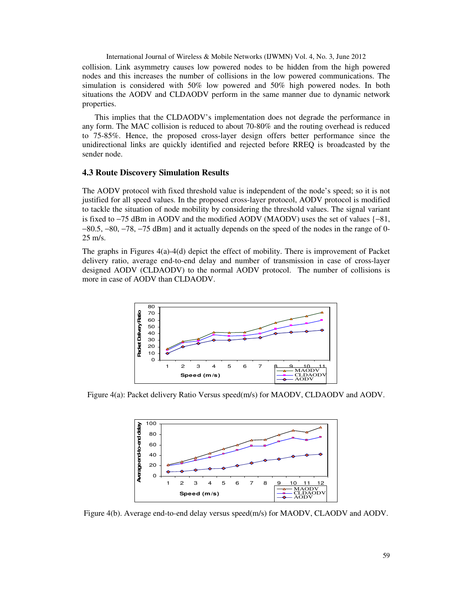collision. Link asymmetry causes low powered nodes to be hidden from the high powered nodes and this increases the number of collisions in the low powered communications. The simulation is considered with 50% low powered and 50% high powered nodes. In both situations the AODV and CLDAODV perform in the same manner due to dynamic network properties.

This implies that the CLDAODV's implementation does not degrade the performance in any form. The MAC collision is reduced to about 70-80% and the routing overhead is reduced to 75-85%. Hence, the proposed cross-layer design offers better performance since the unidirectional links are quickly identified and rejected before RREQ is broadcasted by the sender node.

## **4.3 Route Discovery Simulation Results**

The AODV protocol with fixed threshold value is independent of the node's speed; so it is not justified for all speed values. In the proposed cross-layer protocol, AODV protocol is modified to tackle the situation of node mobility by considering the threshold values. The signal variant is fixed to −75 dBm in AODV and the modified AODV (MAODV) uses the set of values {−81, −80.5, −80, −78, −75 dBm} and it actually depends on the speed of the nodes in the range of 0- 25 m/s.

The graphs in Figures 4(a)-4(d) depict the effect of mobility. There is improvement of Packet delivery ratio, average end-to-end delay and number of transmission in case of cross-layer designed AODV (CLDAODV) to the normal AODV protocol. The number of collisions is more in case of AODV than CLDAODV.



Figure 4(a): Packet delivery Ratio Versus speed(m/s) for MAODV, CLDAODV and AODV.

![](_page_8_Figure_8.jpeg)

Figure 4(b). Average end-to-end delay versus speed(m/s) for MAODV, CLAODV and AODV.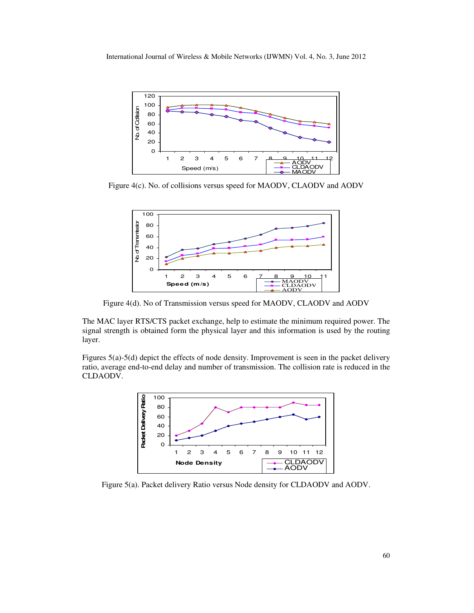![](_page_9_Figure_1.jpeg)

Figure 4(c). No. of collisions versus speed for MAODV, CLAODV and AODV

![](_page_9_Figure_3.jpeg)

Figure 4(d). No of Transmission versus speed for MAODV, CLAODV and AODV

The MAC layer RTS/CTS packet exchange, help to estimate the minimum required power. The signal strength is obtained form the physical layer and this information is used by the routing layer.

Figures 5(a)-5(d) depict the effects of node density. Improvement is seen in the packet delivery ratio, average end-to-end delay and number of transmission. The collision rate is reduced in the CLDAODV.

![](_page_9_Figure_7.jpeg)

Figure 5(a). Packet delivery Ratio versus Node density for CLDAODV and AODV.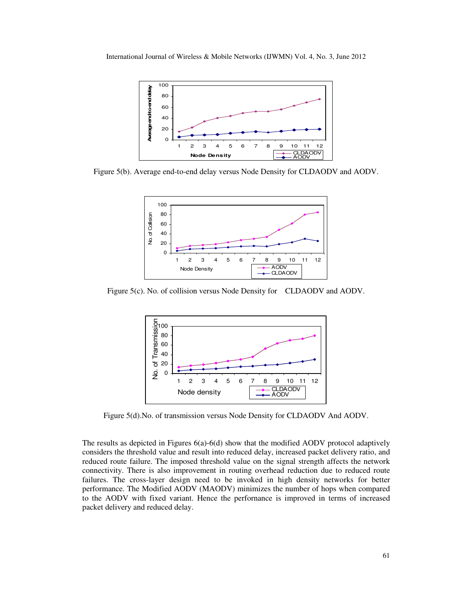![](_page_10_Figure_1.jpeg)

Figure 5(b). Average end-to-end delay versus Node Density for CLDAODV and AODV.

![](_page_10_Figure_3.jpeg)

Figure 5(c). No. of collision versus Node Density for CLDAODV and AODV.

![](_page_10_Figure_5.jpeg)

Figure 5(d).No. of transmission versus Node Density for CLDAODV And AODV.

The results as depicted in Figures 6(a)-6(d) show that the modified AODV protocol adaptively considers the threshold value and result into reduced delay, increased packet delivery ratio, and reduced route failure. The imposed threshold value on the signal strength affects the network connectivity. There is also improvement in routing overhead reduction due to reduced route failures. The cross-layer design need to be invoked in high density networks for better performance. The Modified AODV (MAODV) minimizes the number of hops when compared to the AODV with fixed variant. Hence the perfornance is improved in terms of increased packet delivery and reduced delay.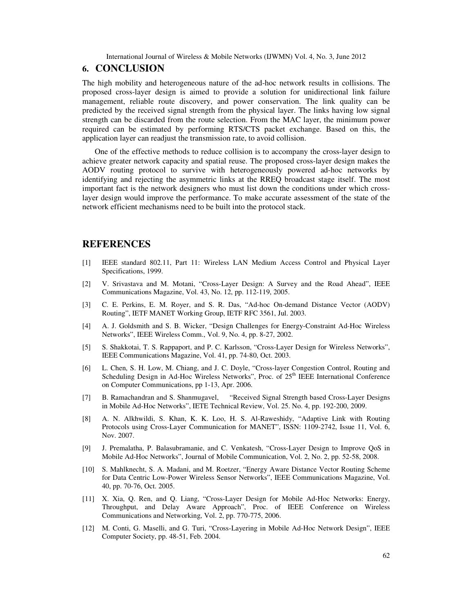## **6. CONCLUSION**

The high mobility and heterogeneous nature of the ad-hoc network results in collisions. The proposed cross-layer design is aimed to provide a solution for unidirectional link failure management, reliable route discovery, and power conservation. The link quality can be predicted by the received signal strength from the physical layer. The links having low signal strength can be discarded from the route selection. From the MAC layer, the minimum power required can be estimated by performing RTS/CTS packet exchange. Based on this, the application layer can readjust the transmission rate, to avoid collision.

One of the effective methods to reduce collision is to accompany the cross-layer design to achieve greater network capacity and spatial reuse. The proposed cross-layer design makes the AODV routing protocol to survive with heterogeneously powered ad-hoc networks by identifying and rejecting the asymmetric links at the RREQ broadcast stage itself. The most important fact is the network designers who must list down the conditions under which crosslayer design would improve the performance. To make accurate assessment of the state of the network efficient mechanisms need to be built into the protocol stack.

## **REFERENCES**

- [1] IEEE standard 802.11, Part 11: Wireless LAN Medium Access Control and Physical Layer Specifications, 1999.
- [2] V. Srivastava and M. Motani, "Cross-Layer Design: A Survey and the Road Ahead", IEEE Communications Magazine, Vol. 43, No. 12, pp. 112-119, 2005.
- [3] C. E. Perkins, E. M. Royer, and S. R. Das, "Ad-hoc On-demand Distance Vector (AODV) Routing", IETF MANET Working Group, IETF RFC 3561, Jul. 2003.
- [4] A. J. Goldsmith and S. B. Wicker, "Design Challenges for Energy-Constraint Ad-Hoc Wireless Networks", IEEE Wireless Comm., Vol. 9, No. 4, pp. 8-27, 2002.
- [5] S. Shakkotai, T. S. Rappaport, and P. C. Karlsson, "Cross-Layer Design for Wireless Networks", IEEE Communications Magazine, Vol. 41, pp. 74-80, Oct. 2003.
- [6] L. Chen, S. H. Low, M. Chiang, and J. C. Doyle, "Cross-layer Congestion Control, Routing and Scheduling Design in Ad-Hoc Wireless Networks", Proc. of  $25<sup>th</sup>$  IEEE International Conference on Computer Communications, pp 1-13, Apr. 2006.
- [7] B. Ramachandran and S. Shanmugavel, "Received Signal Strength based Cross-Layer Designs in Mobile Ad-Hoc Networks", IETE Technical Review, Vol. 25. No. 4, pp. 192-200, 2009.
- [8] A. N. Alkhwildi, S. Khan, K. K. Loo, H. S. Al-Raweshidy, "Adaptive Link with Routing Protocols using Cross-Layer Communication for MANET", ISSN: 1109-2742, Issue 11, Vol. 6, Nov. 2007.
- [9] J. Premalatha, P. Balasubramanie, and C. Venkatesh, "Cross-Layer Design to Improve QoS in Mobile Ad-Hoc Networks", Journal of Mobile Communication, Vol. 2, No. 2, pp. 52-58, 2008.
- [10] S. Mahlknecht, S. A. Madani, and M. Roetzer, "Energy Aware Distance Vector Routing Scheme for Data Centric Low-Power Wireless Sensor Networks", IEEE Communications Magazine, Vol. 40, pp. 70-76, Oct. 2005.
- [11] X. Xia, Q. Ren, and Q. Liang, "Cross-Layer Design for Mobile Ad-Hoc Networks: Energy, Throughput, and Delay Aware Approach", Proc. of IEEE Conference on Wireless Communications and Networking, Vol. 2, pp. 770-775, 2006.
- [12] M. Conti, G. Maselli, and G. Turi, "Cross-Layering in Mobile Ad-Hoc Network Design", IEEE Computer Society, pp. 48-51, Feb. 2004.